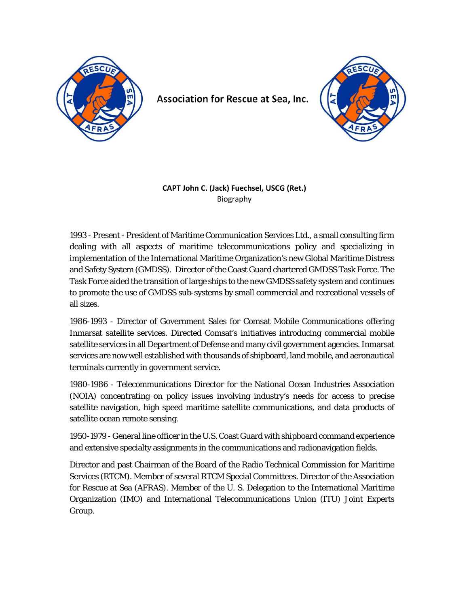

Association for Rescue at Sea, Inc.



## **CAPT John C. (Jack) Fuechsel, USCG (Ret.)** Biography

1993 - Present - President of Maritime Communication Services Ltd., a small consulting firm dealing with all aspects of maritime telecommunications policy and specializing in implementation of the International Maritime Organization's new Global Maritime Distress and Safety System (GMDSS). Director of the Coast Guard chartered GMDSS Task Force. The Task Force aided the transition of large ships to the new GMDSS safety system and continues to promote the use of GMDSS sub-systems by small commercial and recreational vessels of all sizes.

1986-1993 - Director of Government Sales for Comsat Mobile Communications offering Inmarsat satellite services. Directed Comsat's initiatives introducing commercial mobile satellite services in all Department of Defense and many civil government agencies. Inmarsat services are now well established with thousands of shipboard, land mobile, and aeronautical terminals currently in government service.

1980-1986 - Telecommunications Director for the National Ocean Industries Association (NOIA) concentrating on policy issues involving industry's needs for access to precise satellite navigation, high speed maritime satellite communications, and data products of satellite ocean remote sensing.

1950-1979 - General line officer in the U.S. Coast Guard with shipboard command experience and extensive specialty assignments in the communications and radionavigation fields.

Director and past Chairman of the Board of the Radio Technical Commission for Maritime Services (RTCM). Member of several RTCM Special Committees. Director of the Association for Rescue at Sea (AFRAS). Member of the U. S. Delegation to the International Maritime Organization (IMO) and International Telecommunications Union (ITU) Joint Experts Group.